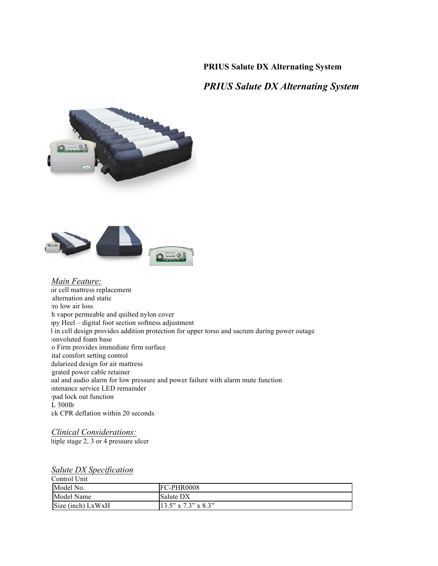## **PRIUS Salute DX Alternating System**

## *PRIUS Salute DX Alternating System*





*Main Feature:* tir cell mattress replacement alternation and static : ro low air loss h vapor permeable and quilted nylon cover ypy Heel – digital foot section softness adjustment I in cell design provides addition protection for upper torso and sacrum during power outage :onvoluted foam base to Firm provides immediate firm surface ital comfort setting control dularized design for air mattress grated power cable retainer ual and audio alarm for low pressure and power failure with alarm mute function intenance service LED remainder pad lock out function  $\overline{L}$  500lb ck CPR deflation within 20 seconds

*Clinical Considerations:* tiple stage 2, 3 or 4 pressure ulcer

## *Salute DX Specification*

Control Unit Model No. FC-PHR0008 Model Name Salute DX Size (inch) LxWxH 13.5" x 7.3" x 8.3"